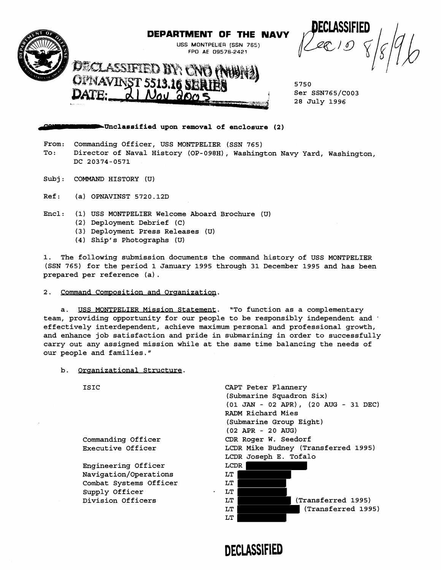

## **DEPARTMENT OF THE NAVY**

USS MONTPELIER [SSN 765) FPO AE 09578-2421

5750 Ser SSN765/C003 28 July 1996

## **a**-Unclassified upon removal of enclosure (2)

Noy apr

From: Commanding Officer, USS MONTPELIER (SSN 765) To: Director of Naval History (OP-098H), Washington Navy Yard, Washington, DC 20374-0571

- subj : COMMAND HISTORY (U)
- Ref: (a) OPNAVINST 5720.12D
- Encl: (1) USS MONTPELIER Welcome Aboard Brochure (U)
	- (2) Deployment Debrief (C)
	- (3) Deployment Press Releases (U)
	- (4) Ship's Photographs (U)

1. The following submission documents the command history of USS MONTPELIER (SSN 765) for the period 1 January 1995 through 31 December 1995 and has been prepared per reference (a) .

2. Command Composition and Organization.

a. USS MONTPELIER Mission Statement. "To function as a complementary team, providing opportunity for our people to be responsibly independent and  $\cdot$ effectively interdependent, achieve maximum personal and professional growth, and enhance job satisfaction and pride in submarining in order to successfully carry out any assigned mission while at the same time balancing the needs of our people and families."

b. Organizational Structure.

ISIC

Commanding Officer Executive Officer

Engineering Officer Navigation/Operations Combat Systems Officer Supply Officer Division Officers



**DECLASSIFIED**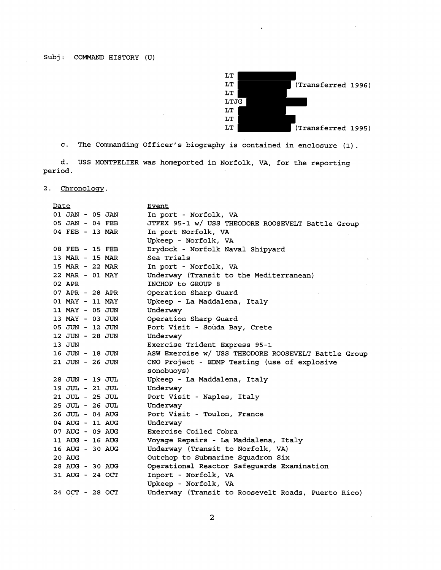

c. The Commanding Officer's biography is contained in enclosure (1)

d. USS MONTPELIER was homeported in Norfolk, VA, for the reporting period.

2. Chronology.

| Date            | <b>Event</b>                                        |
|-----------------|-----------------------------------------------------|
| 01 JAN - 05 JAN | In port - Norfolk, VA                               |
| 05 JAN - 04 FEB | JTFEX 95-1 w/ USS THEODORE ROOSEVELT Battle Group   |
| 04 FEB - 13 MAR | In port Norfolk, VA                                 |
|                 | Upkeep - Norfolk, VA                                |
| 08 FEB - 15 FEB | Drydock - Norfolk Naval Shipyard                    |
| 13 MAR - 15 MAR | Sea Trials                                          |
| 15 MAR - 22 MAR | In port - Norfolk, VA                               |
| 22 MAR - 01 MAY | Underway (Transit to the Mediterranean)             |
| 02 APR          | INCHOP to GROUP 8                                   |
| 07 APR - 28 APR | Operation Sharp Guard                               |
| 01 MAY - 11 MAY | Upkeep - La Maddalena, Italy                        |
| 11 MAY - 05 JUN | Underway                                            |
| 13 MAY - 03 JUN | Operation Sharp Guard                               |
| 05 JUN - 12 JUN | Port Visit - Souda Bay, Crete                       |
| 12 JUN - 28 JUN | Underway                                            |
| 13 JUN          | Exercise Trident Express 95-1                       |
| 16 JUN - 18 JUN | ASW Exercise w/ USS THEODORE ROOSEVELT Battle Group |
| 21 JUN - 26 JUN | CNO Project - EDMP Testing (use of explosive        |
|                 | sonobuoys)                                          |
| 28 JUN - 19 JUL | Upkeep - La Maddalena, Italy                        |
| 19 JUL - 21 JUL | Underway                                            |
| 21 JUL - 25 JUL | Port Visit - Naples, Italy                          |
| 25 JUL - 26 JUL | Underway                                            |
| 26 JUL - 04 AUG | Port Visit - Toulon, France                         |
| 04 AUG - 11 AUG | Underway                                            |
| 07 AUG - 09 AUG | Exercise Coiled Cobra                               |
| 11 AUG - 16 AUG | Voyage Repairs - La Maddalena, Italy                |
| 16 AUG - 30 AUG | Underway (Transit to Norfolk, VA)                   |
| <b>20 AUG</b>   | Outchop to Submarine Squadron Six                   |
| 28 AUG - 30 AUG | Operational Reactor Safeguards Examination          |
| 31 AUG - 24 OCT | Inport - Norfolk, VA                                |
|                 | Upkeep - Norfolk, VA                                |
| 24 OCT - 28 OCT | Underway (Transit to Roosevelt Roads, Puerto Rico)  |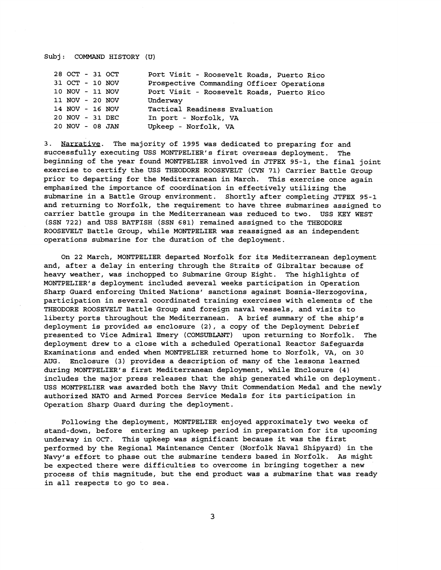## Subj: COMMAND HISTORY (U)

| 28 OCT - 31 OCT |  | Port Visit - Roosevelt Roads, Puerto Rico |
|-----------------|--|-------------------------------------------|
| 31 OCT - 10 NOV |  | Prospective Commanding Officer Operations |
| 10 NOV - 11 NOV |  | Port Visit - Roosevelt Roads, Puerto Rico |
| 11 NOV - 20 NOV |  | Underway                                  |
| 14 NOV - 16 NOV |  | Tactical Readiness Evaluation             |
| 20 NOV - 31 DEC |  | In port - Norfolk, VA                     |
| 20 NOV - 08 JAN |  | Upkeep - Norfolk, VA                      |

3. Narrative. The majority of 1995 was dedicated to preparing for and successfully executing USS MONTPELIER'S first overseas deployment. The beginning of the year found MONTPELIER involved in JTFEX 95-1, the final joint exercise to certify the USS THEODORE ROOSEVELT (CVN 71) Carrier Battle Group prior to departing for the Mediterranean in March. This exercise once again emphasized the importance of coordination in effectively utilizing the submarine in a Battle Group environment. Shortly after completing JTFEX 95-1 and returning to Norfolk, the requirement to have three submarines assigned to carrier battle groups in the Mediterranean was reduced to two. USS KEY WEST (SSN 722) and USS BATFISH (SSN 681) remained assigned to the THEODORE ROOSEVELT Battle Group, while MONTPELIER was reassigned as an independent operations submarine for the duration of the deployment.

On 22 March, MONTPELIER departed Norfolk for its Mediterranean deployment and, after a delay in entering through the Straits of Gibraltar because of heavy weather, was inchopped to Submarine Group Eight. The highlights of MONTPELIER'S deployment included several weeks participation in Operation Sharp Guard enforcing United Nations' sanctions against Bosnia-Herzogovina, participation in several coordinated training exercises with elements of the THEODORE ROOSEVELT Battle Group and foreign naval vessels, and visits to liberty ports throughout the Mediterranean. A brief summary of the ship's deployment is provided as enclosure **(21,** a copy of the Deployment Debrief presented to Vice Admiral Emery (COMSUBLANT) upon returning to Norfolk. The deployment drew to a close with a scheduled Operational Reactor Safeguards Examinations and ended when MONTPELIER returned home to Norfolk, VA, on 30 AUG. Enclosure (3) provides a description of many of the lessons learned during MONTPELIER'S first Mediterranean deployment, while Enclosure (4) includes the major press releases that the ship generated while on deployment. USS MONTPELIER was awarded both the Navy Unit Commendation Medal and the newly authorized NATO and Armed Forces Service Medals for its participation in Operation Sharp Guard during the deployment.

Following the deployment, MONTPELIER enjoyed approximately two weeks of stand-down, before entering an upkeep period in preparation for its upcoming underway in OCT. This upkeep was significant because it was the first performed by the Regional Maintenance Center (Norfolk Naval Shipyard) in the Navy's effort to phase out the submarine tenders based in Norfolk. As might be expected there were difficulties to overcome in bringing together a new process of this magnitude, but the end product was a submarine that was ready in all respects to go to sea.